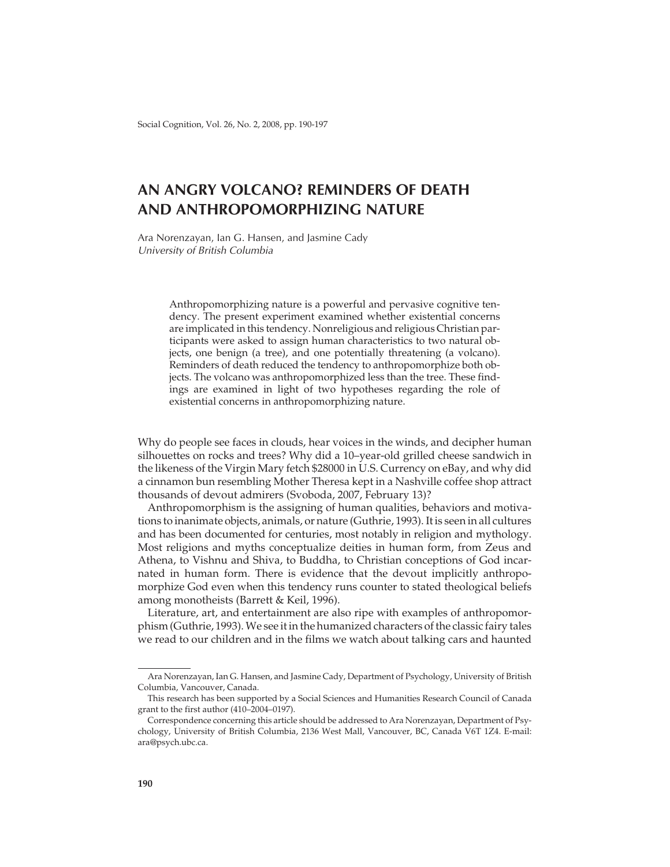Social Cognition, Vol. 26, No. 2, 2008, pp. 190-197

# **AN ANGRY VOLCANO? REMINDERS OF DEATH AND ANTHROPOMORPHIZING NATURE**

Ara Norenzayan, Ian G. Hansen, and Jasmine Cady University of British Columbia

> Anthropomorphizing nature is a powerful and pervasive cognitive tendency. The present experiment examined whether existential concerns are implicated in this tendency. Nonreligious and religious Christian participants were asked to assign human characteristics to two natural objects, one benign (a tree), and one potentially threatening (a volcano). Reminders of death reduced the tendency to anthropomorphize both objects. The volcano was anthropomorphized less than the tree. These findings are examined in light of two hypotheses regarding the role of existential concerns in anthropomorphizing nature.

Why do people see faces in clouds, hear voices in the winds, and decipher human silhouettes on rocks and trees? Why did a 10–year-old grilled cheese sandwich in the likeness of the Virgin Mary fetch \$28000 in U.S. Currency on eBay, and why did a cinnamon bun resembling Mother Theresa kept in a Nashville coffee shop attract thousands of devout admirers (Svoboda, 2007, February 13)?

Anthropomorphism is the assigning of human qualities, behaviors and motivations to inanimate objects, animals, or nature (Guthrie, 1993). It is seen in all cultures and has been documented for centuries, most notably in religion and mythology. Most religions and myths conceptualize deities in human form, from Zeus and Athena, to Vishnu and Shiva, to Buddha, to Christian conceptions of God incarnated in human form. There is evidence that the devout implicitly anthropomorphize God even when this tendency runs counter to stated theological beliefs among monotheists (Barrett & Keil, 1996).

Literature, art, and entertainment are also ripe with examples of anthropomorphism (Guthrie, 1993). We see it in the humanized characters of the classic fairy tales we read to our children and in the films we watch about talking cars and haunted

Ara Norenzayan, Ian G. Hansen, and Jasmine Cady, Department of Psychology, University of British Columbia, Vancouver, Canada.

This research has been supported by a Social Sciences and Humanities Research Council of Canada grant to the first author (410–2004–0197).

Correspondence concerning this article should be addressed to Ara Norenzayan, Department of Psychology, University of British Columbia, 2136 West Mall, Vancouver, BC, Canada V6T 1Z4. E-mail: ara@psych.ubc.ca.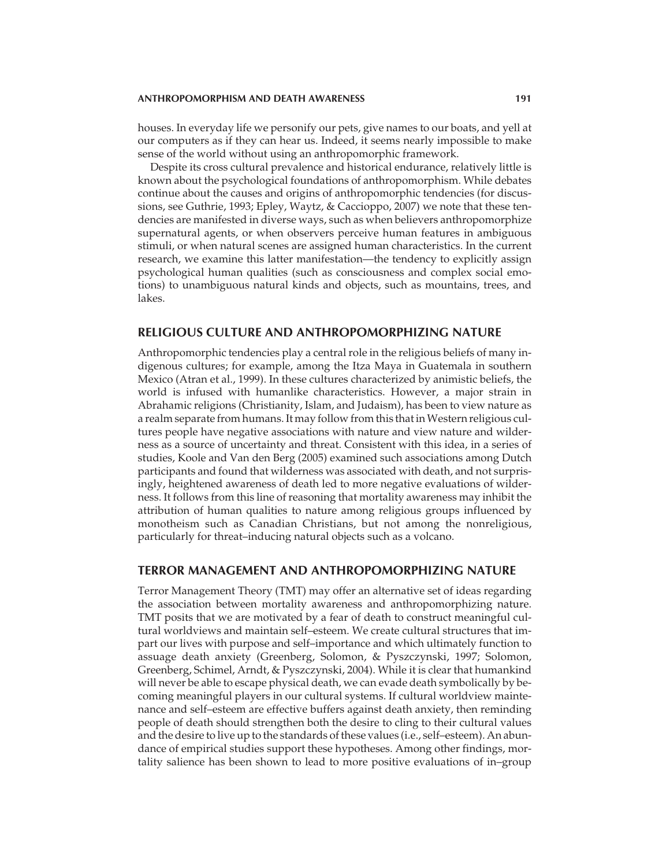#### **ANTHROPOMORPHISM AND DEATH AWARENESS 191**

houses. In everyday life we personify our pets, give names to our boats, and yell at our computers as if they can hear us. Indeed, it seems nearly impossible to make sense of the world without using an anthropomorphic framework.

Despite its cross cultural prevalence and historical endurance, relatively little is known about the psychological foundations of anthropomorphism. While debates continue about the causes and origins of anthropomorphic tendencies (for discussions, see Guthrie, 1993; Epley, Waytz, & Caccioppo, 2007) we note that these tendencies are manifested in diverse ways, such as when believers anthropomorphize supernatural agents, or when observers perceive human features in ambiguous stimuli, or when natural scenes are assigned human characteristics. In the current research, we examine this latter manifestation—the tendency to explicitly assign psychological human qualities (such as consciousness and complex social emotions) to unambiguous natural kinds and objects, such as mountains, trees, and lakes.

## **RELIGIOUS CULTURE AND ANTHROPOMORPHIZING NATURE**

Anthropomorphic tendencies play a central role in the religious beliefs of many indigenous cultures; for example, among the Itza Maya in Guatemala in southern Mexico (Atran et al., 1999). In these cultures characterized by animistic beliefs, the world is infused with humanlike characteristics. However, a major strain in Abrahamic religions (Christianity, Islam, and Judaism), has been to view nature as a realm separate from humans. It may follow from this that in Western religious cultures people have negative associations with nature and view nature and wilderness as a source of uncertainty and threat. Consistent with this idea, in a series of studies, Koole and Van den Berg (2005) examined such associations among Dutch participants and found that wilderness was associated with death, and not surprisingly, heightened awareness of death led to more negative evaluations of wilderness. It follows from this line of reasoning that mortality awareness may inhibit the attribution of human qualities to nature among religious groups influenced by monotheism such as Canadian Christians, but not among the nonreligious, particularly for threat–inducing natural objects such as a volcano.

## **TERROR MANAGEMENT AND ANTHROPOMORPHIZING NATURE**

Terror Management Theory (TMT) may offer an alternative set of ideas regarding the association between mortality awareness and anthropomorphizing nature. TMT posits that we are motivated by a fear of death to construct meaningful cultural worldviews and maintain self–esteem. We create cultural structures that impart our lives with purpose and self–importance and which ultimately function to assuage death anxiety (Greenberg, Solomon, & Pyszczynski, 1997; Solomon, Greenberg, Schimel, Arndt, & Pyszczynski, 2004). While it is clear that humankind will never be able to escape physical death, we can evade death symbolically by becoming meaningful players in our cultural systems. If cultural worldview maintenance and self–esteem are effective buffers against death anxiety, then reminding people of death should strengthen both the desire to cling to their cultural values and the desire to live up to the standards of these values (i.e., self–esteem). An abundance of empirical studies support these hypotheses. Among other findings, mortality salience has been shown to lead to more positive evaluations of in–group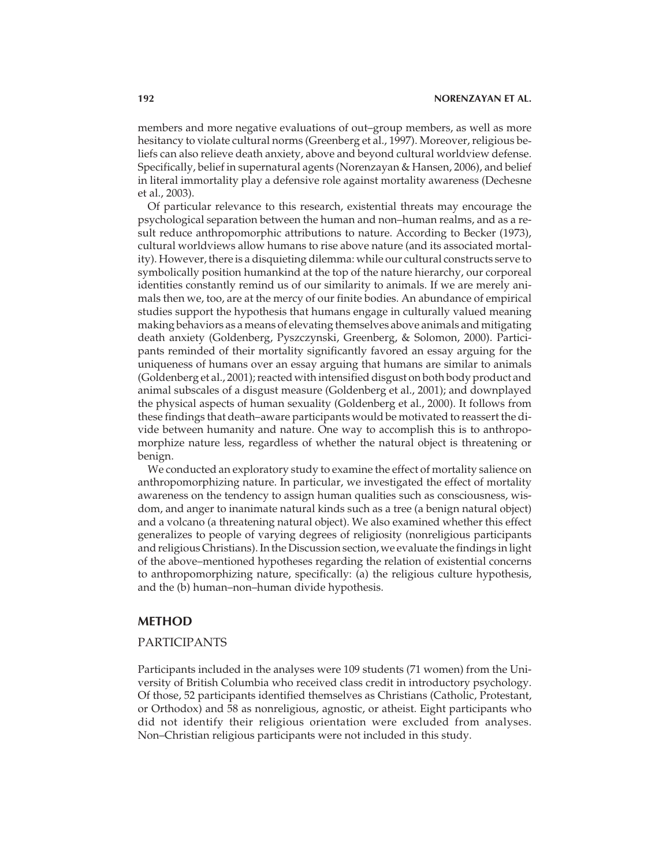members and more negative evaluations of out–group members, as well as more hesitancy to violate cultural norms (Greenberg et al., 1997). Moreover, religious beliefs can also relieve death anxiety, above and beyond cultural worldview defense. Specifically, belief in supernatural agents (Norenzayan & Hansen, 2006), and belief in literal immortality play a defensive role against mortality awareness (Dechesne et al., 2003).

Of particular relevance to this research, existential threats may encourage the psychological separation between the human and non–human realms, and as a result reduce anthropomorphic attributions to nature. According to Becker (1973), cultural worldviews allow humans to rise above nature (and its associated mortality). However, there is a disquieting dilemma: while our cultural constructs serve to symbolically position humankind at the top of the nature hierarchy, our corporeal identities constantly remind us of our similarity to animals. If we are merely animals then we, too, are at the mercy of our finite bodies. An abundance of empirical studies support the hypothesis that humans engage in culturally valued meaning making behaviors as a means of elevating themselves above animals and mitigating death anxiety (Goldenberg, Pyszczynski, Greenberg, & Solomon, 2000). Participants reminded of their mortality significantly favored an essay arguing for the uniqueness of humans over an essay arguing that humans are similar to animals (Goldenberg et al., 2001); reacted with intensified disgust on both body product and animal subscales of a disgust measure (Goldenberg et al., 2001); and downplayed the physical aspects of human sexuality (Goldenberg et al., 2000). It follows from these findings that death–aware participants would be motivated to reassert the divide between humanity and nature. One way to accomplish this is to anthropomorphize nature less, regardless of whether the natural object is threatening or benign.

We conducted an exploratory study to examine the effect of mortality salience on anthropomorphizing nature. In particular, we investigated the effect of mortality awareness on the tendency to assign human qualities such as consciousness, wisdom, and anger to inanimate natural kinds such as a tree (a benign natural object) and a volcano (a threatening natural object). We also examined whether this effect generalizes to people of varying degrees of religiosity (nonreligious participants and religious Christians). In the Discussion section, we evaluate the findings in light of the above–mentioned hypotheses regarding the relation of existential concerns to anthropomorphizing nature, specifically: (a) the religious culture hypothesis, and the (b) human–non–human divide hypothesis.

## **METHOD**

### PARTICIPANTS

Participants included in the analyses were 109 students (71 women) from the University of British Columbia who received class credit in introductory psychology. Of those, 52 participants identified themselves as Christians (Catholic, Protestant, or Orthodox) and 58 as nonreligious, agnostic, or atheist. Eight participants who did not identify their religious orientation were excluded from analyses. Non–Christian religious participants were not included in this study.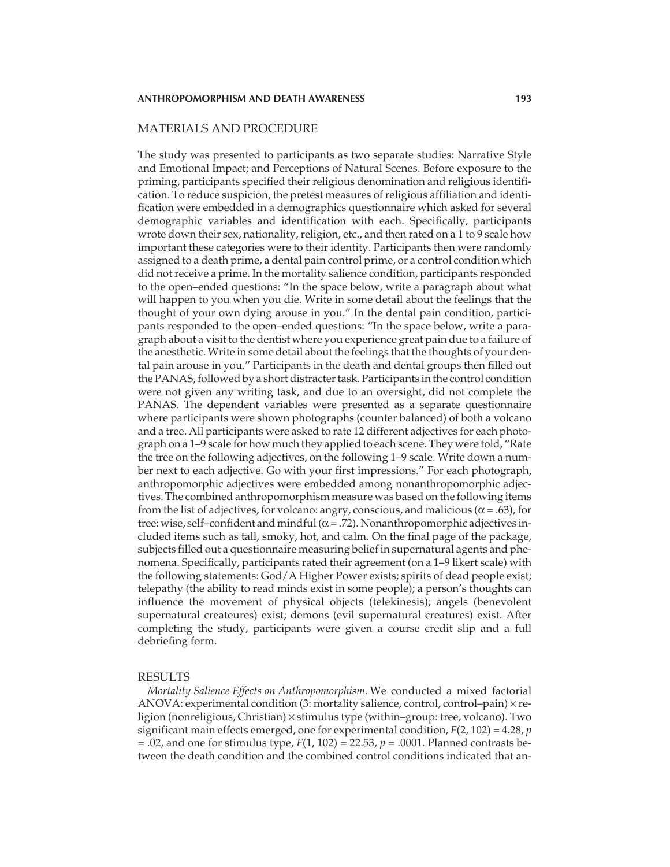#### **ANTHROPOMORPHISM AND DEATH AWARENESS 193**

## MATERIALS AND PROCEDURE

The study was presented to participants as two separate studies: Narrative Style and Emotional Impact; and Perceptions of Natural Scenes. Before exposure to the priming, participants specified their religious denomination and religious identification. To reduce suspicion, the pretest measures of religious affiliation and identification were embedded in a demographics questionnaire which asked for several demographic variables and identification with each. Specifically, participants wrote down their sex, nationality, religion, etc., and then rated on a 1 to 9 scale how important these categories were to their identity. Participants then were randomly assigned to a death prime, a dental pain control prime, or a control condition which did not receive a prime. In the mortality salience condition, participants responded to the open–ended questions: "In the space below, write a paragraph about what will happen to you when you die. Write in some detail about the feelings that the thought of your own dying arouse in you." In the dental pain condition, participants responded to the open–ended questions: "In the space below, write a paragraph about a visit to the dentist where you experience great pain due to a failure of the anesthetic. Write in some detail about the feelings that the thoughts of your dental pain arouse in you." Participants in the death and dental groups then filled out the PANAS, followed by a short distracter task. Participants in the control condition were not given any writing task, and due to an oversight, did not complete the PANAS. The dependent variables were presented as a separate questionnaire where participants were shown photographs (counter balanced) of both a volcano and a tree. All participants were asked to rate 12 different adjectives for each photograph on a 1–9 scale for how much they applied to each scene. They were told, "Rate the tree on the following adjectives, on the following 1–9 scale. Write down a number next to each adjective. Go with your first impressions." For each photograph, anthropomorphic adjectives were embedded among nonanthropomorphic adjectives. The combined anthropomorphism measure was based on the following items from the list of adjectives, for volcano: angry, conscious, and malicious ( $\alpha$  = .63), for tree: wise, self-confident and mindful  $(\alpha = .72)$ . Nonanthropomorphic adjectives included items such as tall, smoky, hot, and calm. On the final page of the package, subjects filled out a questionnaire measuring belief in supernatural agents and phenomena. Specifically, participants rated their agreement (on a 1–9 likert scale) with the following statements: God/A Higher Power exists; spirits of dead people exist; telepathy (the ability to read minds exist in some people); a person's thoughts can influence the movement of physical objects (telekinesis); angels (benevolent supernatural createures) exist; demons (evil supernatural creatures) exist. After completing the study, participants were given a course credit slip and a full debriefing form.

#### RESULTS

*Mortality Salience Effects on Anthropomorphism.* We conducted a mixed factorial ANOVA: experimental condition  $(3:$  mortality salience, control, control–pain)  $\times$  religion (nonreligious, Christian) × stimulus type (within–group: tree, volcano). Two significant main effects emerged, one for experimental condition, *F*(2, 102) = 4.28, *p*  $= .02$ , and one for stimulus type,  $F(1, 102) = 22.53$ ,  $p = .0001$ . Planned contrasts between the death condition and the combined control conditions indicated that an-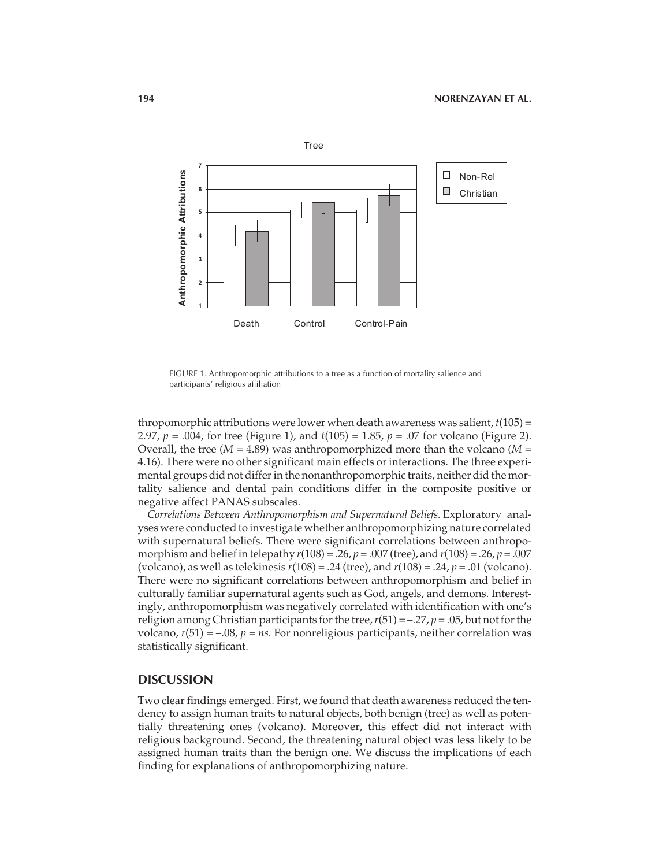

FIGURE 1. Anthropomorphic attributions to a tree as a function of mortality salience and participants' religious affiliation

thropomorphic attributions were lower when death awareness was salient, *t*(105) = 2.97, *p* = .004, for tree (Figure 1), and *t*(105) = 1.85, *p* = .07 for volcano (Figure 2). Overall, the tree  $(M = 4.89)$  was anthropomorphized more than the volcano  $(M =$ 4.16). There were no other significant main effects or interactions. The three experimental groups did not differ in the nonanthropomorphic traits, neither did the mortality salience and dental pain conditions differ in the composite positive or negative affect PANAS subscales.

*Correlations Between Anthropomorphism and Supernatural Beliefs.* Exploratory analyses were conducted to investigate whether anthropomorphizing nature correlated with supernatural beliefs. There were significant correlations between anthropomorphism and belief in telepathy *r*(108) = .26, *p* = .007 (tree), and *r*(108) = .26, *p* = .007 (volcano), as well as telekinesis *r*(108) = .24 (tree), and *r*(108) = .24, *p* = .01 (volcano). There were no significant correlations between anthropomorphism and belief in culturally familiar supernatural agents such as God, angels, and demons. Interestingly, anthropomorphism was negatively correlated with identification with one's religion among Christian participants for the tree,*r*(51) = –.27, *p* = .05, but not for the volcano,  $r(51) = -0.08$ ,  $p = ns$ . For nonreligious participants, neither correlation was statistically significant.

## **DISCUSSION**

Two clear findings emerged. First, we found that death awareness reduced the tendency to assign human traits to natural objects, both benign (tree) as well as potentially threatening ones (volcano). Moreover, this effect did not interact with religious background. Second, the threatening natural object was less likely to be assigned human traits than the benign one. We discuss the implications of each finding for explanations of anthropomorphizing nature.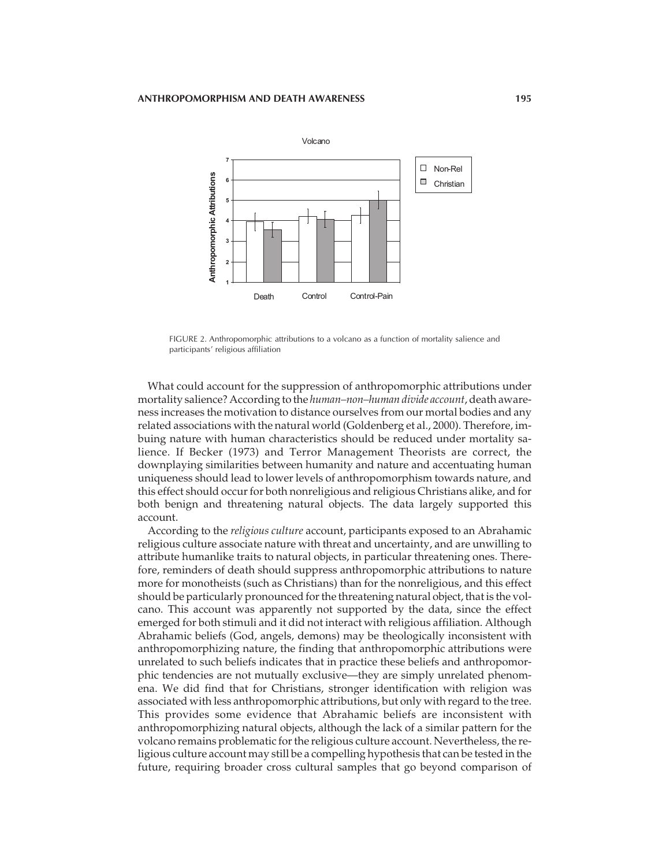

FIGURE 2. Anthropomorphic attributions to a volcano as a function of mortality salience and participants' religious affiliation

What could account for the suppression of anthropomorphic attributions under mortality salience? According to the *human–non–human divide account*, death awareness increases the motivation to distance ourselves from our mortal bodies and any related associations with the natural world (Goldenberg et al., 2000). Therefore, imbuing nature with human characteristics should be reduced under mortality salience. If Becker (1973) and Terror Management Theorists are correct, the downplaying similarities between humanity and nature and accentuating human uniqueness should lead to lower levels of anthropomorphism towards nature, and this effect should occur for both nonreligious and religious Christians alike, and for both benign and threatening natural objects. The data largely supported this account.

According to the *religious culture* account, participants exposed to an Abrahamic religious culture associate nature with threat and uncertainty, and are unwilling to attribute humanlike traits to natural objects, in particular threatening ones. Therefore, reminders of death should suppress anthropomorphic attributions to nature more for monotheists (such as Christians) than for the nonreligious, and this effect should be particularly pronounced for the threatening natural object, that is the volcano. This account was apparently not supported by the data, since the effect emerged for both stimuli and it did not interact with religious affiliation. Although Abrahamic beliefs (God, angels, demons) may be theologically inconsistent with anthropomorphizing nature, the finding that anthropomorphic attributions were unrelated to such beliefs indicates that in practice these beliefs and anthropomorphic tendencies are not mutually exclusive—they are simply unrelated phenomena. We did find that for Christians, stronger identification with religion was associated with less anthropomorphic attributions, but only with regard to the tree. This provides some evidence that Abrahamic beliefs are inconsistent with anthropomorphizing natural objects, although the lack of a similar pattern for the volcano remains problematic for the religious culture account. Nevertheless, the religious culture account may still be a compelling hypothesis that can be tested in the future, requiring broader cross cultural samples that go beyond comparison of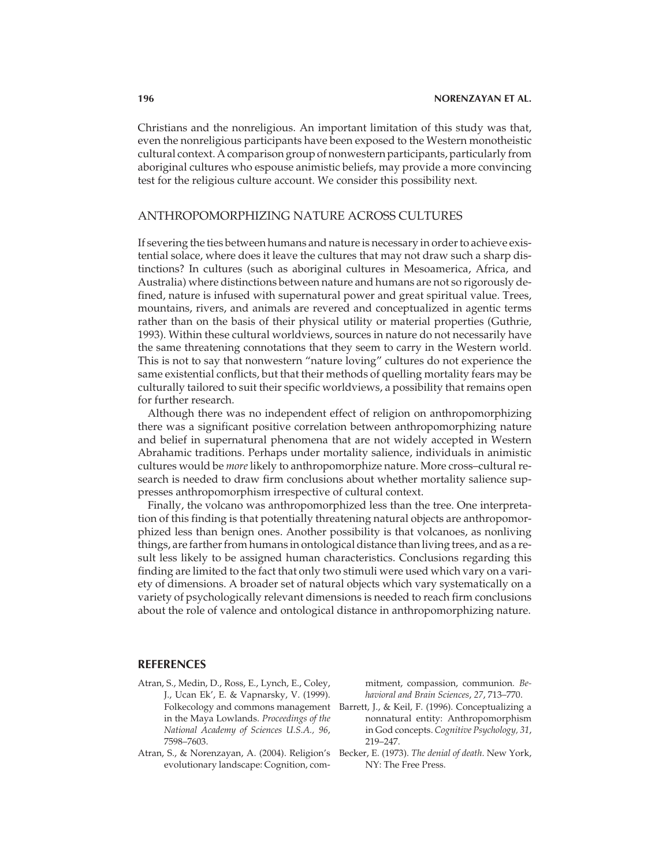Christians and the nonreligious. An important limitation of this study was that, even the nonreligious participants have been exposed to the Western monotheistic cultural context. A comparison group of nonwestern participants, particularly from aboriginal cultures who espouse animistic beliefs, may provide a more convincing test for the religious culture account. We consider this possibility next.

## ANTHROPOMORPHIZING NATURE ACROSS CULTURES

If severing the ties between humans and nature is necessary in order to achieve existential solace, where does it leave the cultures that may not draw such a sharp distinctions? In cultures (such as aboriginal cultures in Mesoamerica, Africa, and Australia) where distinctions between nature and humans are not so rigorously defined, nature is infused with supernatural power and great spiritual value. Trees, mountains, rivers, and animals are revered and conceptualized in agentic terms rather than on the basis of their physical utility or material properties (Guthrie, 1993). Within these cultural worldviews, sources in nature do not necessarily have the same threatening connotations that they seem to carry in the Western world. This is not to say that nonwestern "nature loving" cultures do not experience the same existential conflicts, but that their methods of quelling mortality fears may be culturally tailored to suit their specific worldviews, a possibility that remains open for further research.

Although there was no independent effect of religion on anthropomorphizing there was a significant positive correlation between anthropomorphizing nature and belief in supernatural phenomena that are not widely accepted in Western Abrahamic traditions. Perhaps under mortality salience, individuals in animistic cultures would be *more*likely to anthropomorphize nature. More cross–cultural research is needed to draw firm conclusions about whether mortality salience suppresses anthropomorphism irrespective of cultural context.

Finally, the volcano was anthropomorphized less than the tree. One interpretation of this finding is that potentially threatening natural objects are anthropomorphized less than benign ones. Another possibility is that volcanoes, as nonliving things, are farther from humans in ontological distance than living trees, and as a result less likely to be assigned human characteristics. Conclusions regarding this finding are limited to the fact that only two stimuli were used which vary on a variety of dimensions. A broader set of natural objects which vary systematically on a variety of psychologically relevant dimensions is needed to reach firm conclusions about the role of valence and ontological distance in anthropomorphizing nature.

#### **REFERENCES**

- Atran, S., Medin, D., Ross, E., Lynch, E., Coley, J., Ucan Ek', E. & Vapnarsky, V. (1999). in the Maya Lowlands. *Proceedings of the National Academy of Sciences U.S.A., 96*, 7598–7603.
- Atran, S., & Norenzayan, A. (2004). Religion's Becker, E. (1973). *The denial of death*. New York, evolutionary landscape: Cognition, com-

mitment, compassion, communion*. Behavioral and Brain Sciences*, *27*, 713–770.

- Folkecology and commons management Barrett, J., & Keil, F. (1996). Conceptualizing a nonnatural entity: Anthropomorphism in God concepts. *Cognitive Psychology, 31*, 219–247.
	- NY: The Free Press.